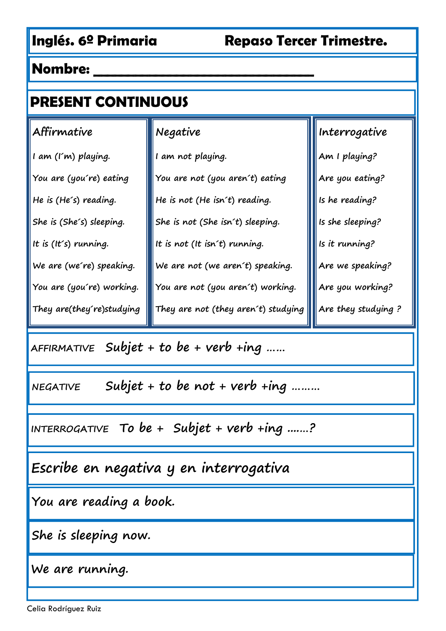| <b>PRESENT CONTINUOUS</b> |                                     |                     |
|---------------------------|-------------------------------------|---------------------|
| Affirmative               | Negative                            | Interrogative       |
| I am (I'm) playing.       | I am not playing.                   | Am I playing?       |
| You are (you´re) eating   | You are not (you aren't) eating     | Are you eating?     |
| He is (He's) reading.     | He is not (He isn't) reading.       | Is he reading?      |
| She is (She's) sleeping.  | She is not (She isn't) sleeping.    | Is she sleeping?    |
| It is $(It's)$ running.   | It is not (It isn't) running.       | Is it running?      |
| We are (we're) speaking.  | We are not (we aren't) speaking.    | Are we speaking?    |
| You are (you're) working. | You are not (you aren´t) working.   | Are you working?    |
| They are(they're)studying | They are not (they aren't) studying | Are they studying ? |

**AFFIRMATIVE Subjet + to be + verb +ing ……**

**NEGATIVE Subjet + to be not + verb +ing ………**

**INTERROGATIVE To be + Subjet + verb +ing ....…?**

**Escribe en negativa y en interrogativa**

**You are reading a book.**

**She is sleeping now.**

**We are running.**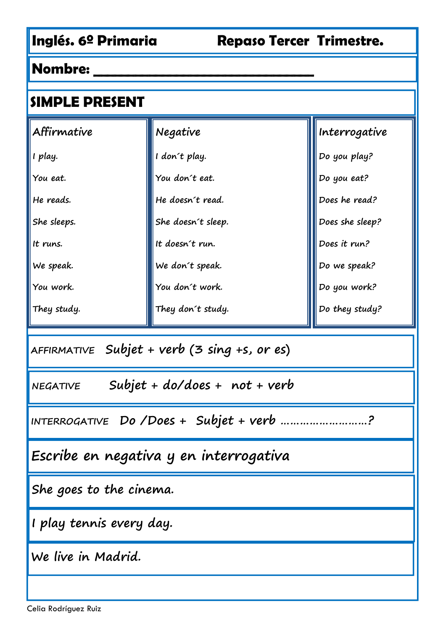| SIMPLE PRESENT                                     |                                        |                 |  |
|----------------------------------------------------|----------------------------------------|-----------------|--|
| $\mathsf{A}$ ffirmative                            | Negative                               | Interrogative   |  |
| I play.                                            | I don't play.                          | Do you play?    |  |
| You eat.                                           | You don't eat.                         | Do you eat?     |  |
| He reads.                                          | He doesn't read.                       | Does he read?   |  |
| She sleeps.                                        | She doesn't sleep.                     | Does she sleep? |  |
| It runs.                                           | It doesn't run.                        | Does it run?    |  |
| We speak.                                          | We don't speak.                        | Do we speak?    |  |
| You work.                                          | You don't work.                        | Do you work?    |  |
| They study.                                        | They don't study.                      | Do they study?  |  |
| AFFIRMATIVE Subjet + verb (3 sing +s, or es)       |                                        |                 |  |
| Subjet + $do/does + not + verb$<br><b>NEGATIVE</b> |                                        |                 |  |
|                                                    | INTERROGATIVE Do /Does + Subjet + verb |                 |  |
|                                                    | Escribe en negativa y en interrogativa |                 |  |
| She goes to the cinema.                            |                                        |                 |  |
| I play tennis every day.                           |                                        |                 |  |
| We live in Madrid.                                 |                                        |                 |  |
|                                                    |                                        |                 |  |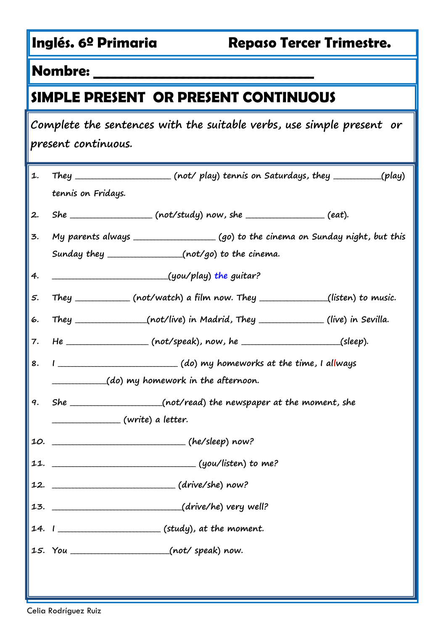# **SIMPLE PRESENT OR PRESENT CONTINUOUS**

| Complete the sentences with the suitable verbs, use simple present or<br>present continuous. |                    |                                                                                    |  |
|----------------------------------------------------------------------------------------------|--------------------|------------------------------------------------------------------------------------|--|
| 1.                                                                                           |                    | They ______________________ (not/ play) tennis on Saturdays, they __________(play) |  |
|                                                                                              | tennis on Fridays. |                                                                                    |  |
| 2.                                                                                           |                    | $She$ _______________________ (not/study) now, she _____________________ (eat).    |  |
| 3.                                                                                           |                    |                                                                                    |  |
|                                                                                              |                    | Sunday they __________________(not/go) to the cinema.                              |  |
| 4.                                                                                           |                    |                                                                                    |  |
| 5.                                                                                           |                    | They ____________ (not/watch) a film now. They ______________(listen) to music.    |  |
| 6.                                                                                           |                    | They _______________(not/live) in Madrid, They _____________(live) in Sevilla.     |  |
| 7.                                                                                           |                    | He __________________ (not/speak), now, he ______________________(sleep).          |  |
| 8.                                                                                           |                    | I ________________________________(do) my homeworks at the time, I allways         |  |
|                                                                                              |                    | (do) my homework in the afternoon.                                                 |  |
| 9.                                                                                           |                    | She ___________________(not/read) the newspaper at the moment, she                 |  |
|                                                                                              |                    |                                                                                    |  |
|                                                                                              |                    |                                                                                    |  |
|                                                                                              |                    |                                                                                    |  |
|                                                                                              |                    |                                                                                    |  |
|                                                                                              |                    |                                                                                    |  |
|                                                                                              |                    |                                                                                    |  |
|                                                                                              |                    | 15. You ________________________(not/speak) now.                                   |  |
|                                                                                              |                    |                                                                                    |  |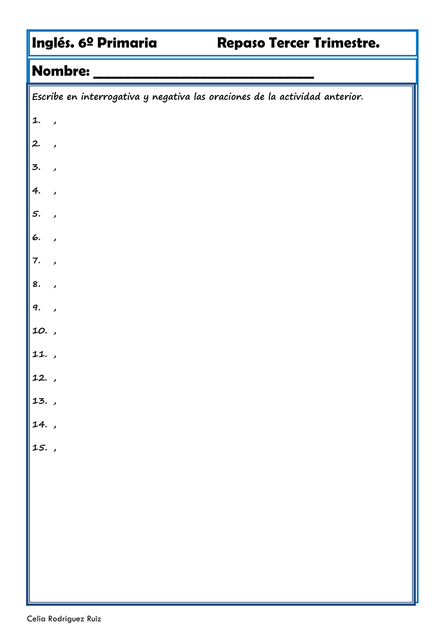# **Nombre: \_\_\_\_\_\_\_\_\_\_\_\_\_\_\_\_\_\_\_\_\_\_\_\_\_\_\_\_\_\_\_\_**

|            | $\mid$ Escribe en interrogativa y negativa las oraciones de la actividad anterior. |
|------------|------------------------------------------------------------------------------------|
| 1.         | $\overline{\phantom{a}}$                                                           |
| $\vert$ 2. | $\overline{\phantom{a}}$                                                           |
| 3.         | $\overline{\phantom{a}}$                                                           |
| 4.         | $\overline{\phantom{a}}$                                                           |
| 5.         | $\overline{\phantom{a}}$                                                           |
| 6.         | $\overline{\phantom{a}}$                                                           |
| 7.         | $\overline{\phantom{a}}$                                                           |
| 8.         | $\overline{\phantom{a}}$                                                           |
| 9.         | $\overline{\phantom{a}}$                                                           |
| 10.,       |                                                                                    |
| 11.,       |                                                                                    |
| 12.,       |                                                                                    |
| $13.$ ,    |                                                                                    |
| 14.        |                                                                                    |
| 15.,       |                                                                                    |
|            |                                                                                    |
|            |                                                                                    |
|            |                                                                                    |
|            |                                                                                    |
|            |                                                                                    |
|            |                                                                                    |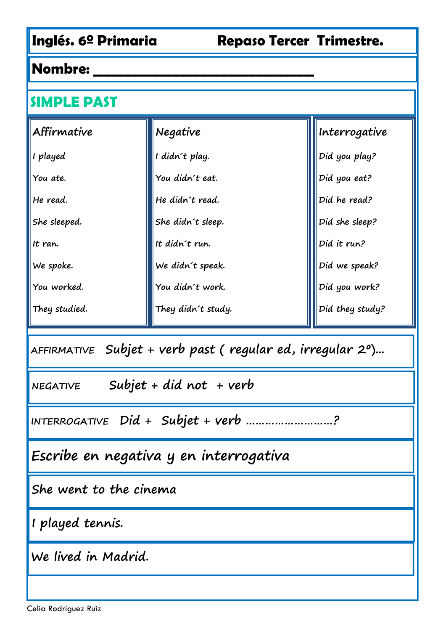#### **Nombre: \_\_\_\_\_\_\_\_\_\_\_\_\_\_\_\_\_\_\_\_\_\_\_\_\_\_\_\_\_\_\_\_**

#### **SIMPLE PAST**

| Affirmative   | Negative           | Interrogative   |
|---------------|--------------------|-----------------|
| I played      | I didn't play.     | Did you play?   |
| You ate.      | You didn't eat.    | Did you eat?    |
| He read.      | He didn't read.    | Did he read?    |
| She sleeped.  | She didn't sleep.  | Did she sleep?  |
| It ran.       | It didn't run.     | Did it run?     |
| We spoke.     | We didn't speak.   | Did we speak?   |
| You worked.   | You didn't work.   | Did you work?   |
| They studied. | They didn't study. | Did they study? |

**AFFIRMATIVE Subjet + verb past ( regular ed, irregular 2º)...**

**NEGATIVE Subjet + did not + verb**

**INTERROGATIVE Did + Subjet + verb ………………………?**

**Escribe en negativa y en interrogativa**

**She went to the cinema**

**I played tennis.**

**We lived in Madrid.**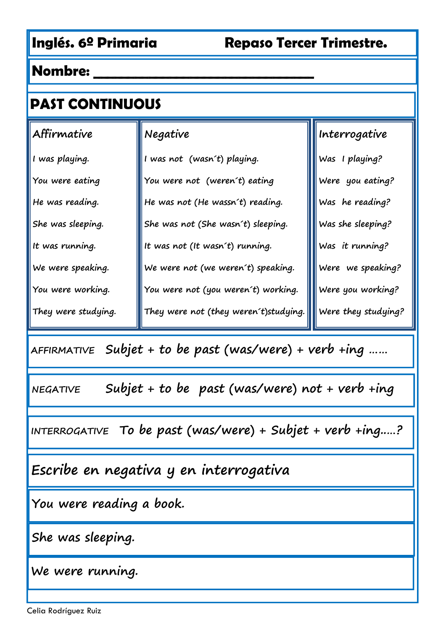| <b>PAST CONTINUOUS</b>                 |                                    |  |
|----------------------------------------|------------------------------------|--|
| Negative                               | Interrogative                      |  |
| I was not (wasn't) playing.            | Was I playing?                     |  |
| You were not (weren't) eating          | Were you eating?                   |  |
| He was not (He wassn't) reading.       | Was he reading?                    |  |
| She was not (She wasn't) sleeping.     | Was she sleeping?                  |  |
| It was not (It wasn't) running.        | Was it running?                    |  |
| We were not (we weren't) speaking.     | Were we speaking?                  |  |
| You were not (you weren't) working.    | Were you working?                  |  |
| They were not (they weren't) studying. | $\blacksquare$ Were they studying? |  |
|                                        |                                    |  |

**AFFIRMATIVE Subjet + to be past (was/were) + verb +ing ……**

**NEGATIVE Subjet + to be past (was/were) not + verb +ing**

**INTERROGATIVE To be past (was/were) + Subjet + verb +ing..…?**

**Escribe en negativa y en interrogativa**

**You were reading a book.**

**She was sleeping.**

**We were running.**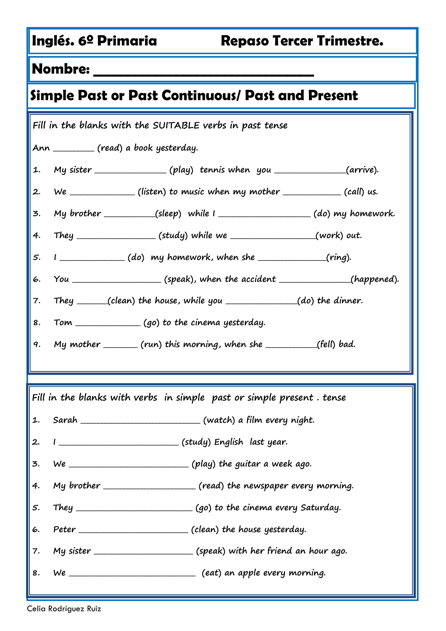# **Simple Past or Past Continuous/ Past and Present**

| Fill in the blanks with the SUITABLE verbs in past tense              |                                                                                  |  |  |  |
|-----------------------------------------------------------------------|----------------------------------------------------------------------------------|--|--|--|
| Ann __________ (read) a book yesterday.                               |                                                                                  |  |  |  |
| 1.                                                                    | My sister ________________(play) tennis when you _______________(arrive).        |  |  |  |
| 2.                                                                    | We _______________ (listen) to music when my mother _____________ (call) us.     |  |  |  |
| 3.                                                                    | My brother ___________(sleep) while I __________________(do) my homework.        |  |  |  |
|                                                                       | 4. They ____________________(study) while we ___________________(work) out.      |  |  |  |
| 5.                                                                    |                                                                                  |  |  |  |
| 6.                                                                    | You _______________________(speak), when the accident _______________(happened). |  |  |  |
| 7.                                                                    | They ______(clean) the house, while you $\qquad (do)$ the dinner.                |  |  |  |
| 8.                                                                    | Tom _________________(go) to the cinema yesterday.                               |  |  |  |
|                                                                       | 9. My mother _______ (run) this morning, when she ___________(fell) bad.         |  |  |  |
|                                                                       |                                                                                  |  |  |  |
| Fill in the blanks with verbs in simple past or simple present. tense |                                                                                  |  |  |  |
|                                                                       |                                                                                  |  |  |  |
| 2.                                                                    |                                                                                  |  |  |  |
| 3.                                                                    |                                                                                  |  |  |  |
| 4.                                                                    | My brother _______________________ (read) the newspaper every morning.           |  |  |  |
| 5.                                                                    |                                                                                  |  |  |  |
| 6.                                                                    |                                                                                  |  |  |  |
| 7.                                                                    |                                                                                  |  |  |  |
|                                                                       |                                                                                  |  |  |  |
|                                                                       |                                                                                  |  |  |  |

Celia Rodríguez Ruiz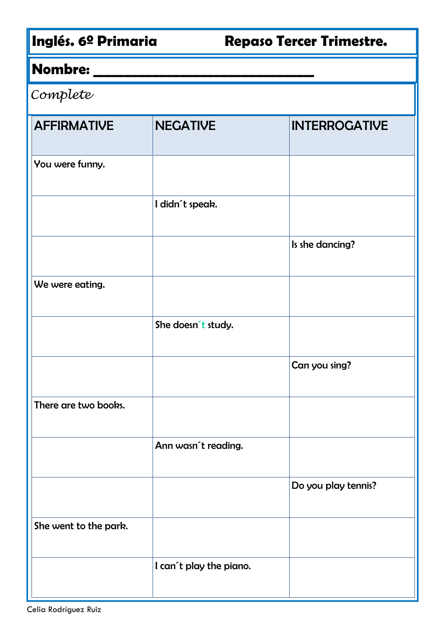# **Nombre: \_\_\_\_\_\_\_\_\_\_\_\_\_\_\_\_\_\_\_\_\_\_\_\_\_\_\_\_\_\_\_\_**

### Complete

| <b>AFFIRMATIVE</b>    | <b>NEGATIVE</b>         | <b>INTERROGATIVE</b> |
|-----------------------|-------------------------|----------------------|
| You were funny.       |                         |                      |
|                       | I didn't speak.         |                      |
|                       |                         | Is she dancing?      |
| We were eating.       |                         |                      |
|                       | She doesn't study.      |                      |
|                       |                         | Can you sing?        |
| There are two books.  |                         |                      |
|                       | Ann wasn't reading.     |                      |
|                       |                         | Do you play tennis?  |
| She went to the park. |                         |                      |
|                       | I can't play the piano. |                      |
|                       |                         |                      |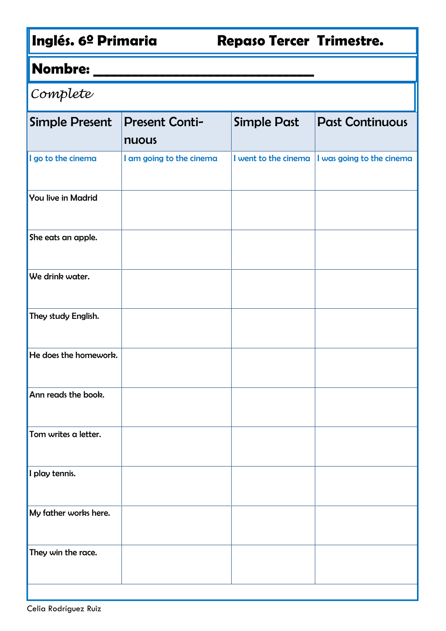# **Nombre: \_\_\_\_\_\_\_\_\_\_\_\_\_\_\_\_\_\_\_\_\_\_\_\_\_\_\_\_\_\_\_\_**

| Complete                  |                                |                      |                           |
|---------------------------|--------------------------------|----------------------|---------------------------|
| <b>Simple Present</b>     | <b>Present Conti-</b><br>nuous | <b>Simple Past</b>   | <b>Past Continuous</b>    |
| I go to the cinema        | I am going to the cinema       | I went to the cinema | I was going to the cinema |
| <b>You live in Madrid</b> |                                |                      |                           |
| She eats an apple.        |                                |                      |                           |
| We drink water.           |                                |                      |                           |
| They study English.       |                                |                      |                           |
| He does the homework.     |                                |                      |                           |
| Ann reads the book.       |                                |                      |                           |
| Tom writes a letter.      |                                |                      |                           |
| I play tennis.            |                                |                      |                           |
| My father works here.     |                                |                      |                           |
| They win the race.        |                                |                      |                           |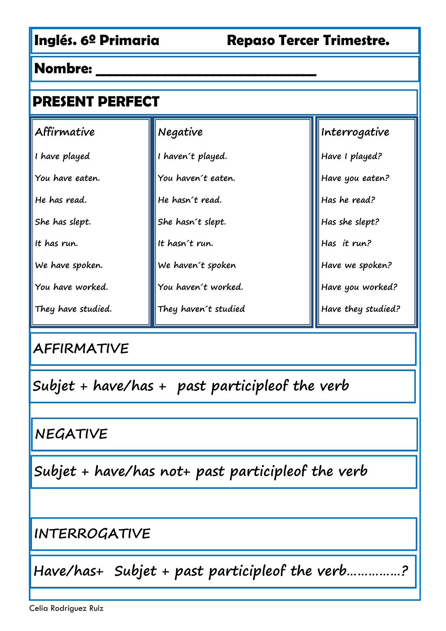| <b>PRESENT PERFECT</b> |                      |                    |
|------------------------|----------------------|--------------------|
| Affirmative            | Negative             | Interrogative      |
| I have played          | I haven't played.    | Have I played?     |
| You have eaten.        | You haven't eaten.   | Have you eaten?    |
| He has read.           | He hasn't read.      | Has he read?       |
| She has slept.         | She hasn't slept.    | Has she slept?     |
| It has run.            | It hasn't run.       | Has it run?        |
| We have spoken.        | We haven't spoken    | Have we spoken?    |
| You have worked.       | You haven't worked.  | Have you worked?   |
| They have studied.     | They haven't studied | Have they studied? |

## **AFFIRMATIVE**

**Subjet + have/has + past participleof the verb**

**NEGATIVE**

**Subjet + have/has not+ past participleof the verb**

**INTERROGATIVE**

**Have/has+ Subjet + past participleof the verb……………?**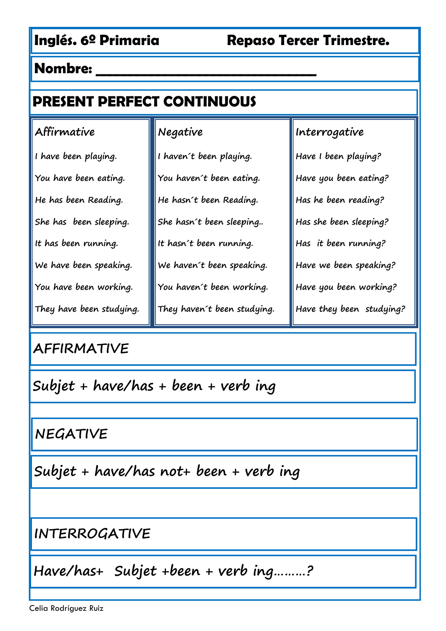# **PRESENT PERFECT CONTINUOUS**

#### **Affirmative**

**I have been playing.**

**You have been eating. He has been Reading. She has been sleeping. It has been running.**

**We have been speaking.**

**You have been working.**

**They have been studying.**

## **AFFIRMATIVE**

**Subjet + have/has + been + verb ing**

**NEGATIVE**

**Subjet + have/has not+ been + verb ing**

**INTERROGATIVE**

**Have/has+ Subjet +been + verb ing………?**

**Negative I haven´t been playing. You haven´t been eating. He hasn´t been Reading. She hasn´t been sleeping.. It hasn´t been running. We haven´t been speaking. You haven´t been working. They haven´t been studying.**

**Interrogative Have I been playing? Have you been eating? Has he been reading? Has she been sleeping? Has it been running? Have we been speaking? Have you been working? Have they been studying?**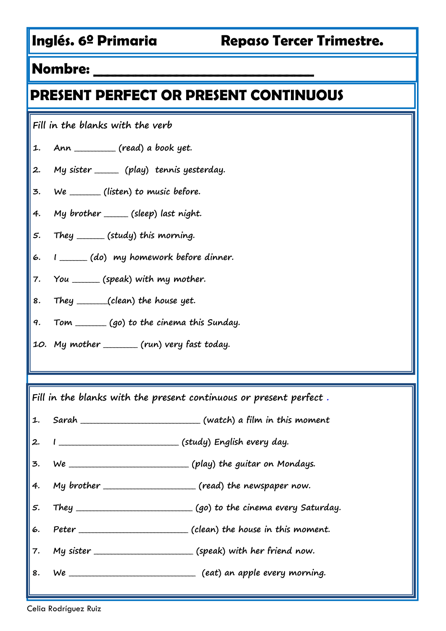## **PRESENT PERFECT OR PRESENT CONTINUOUS**

**Fill in the blanks with the verb**

- **1. Ann \_\_\_\_\_\_\_\_\_\_\_\_ (read) a book yet.**
- **2. My sister \_\_\_\_\_\_\_ (play) tennis yesterday.**
- **3. We \_\_\_\_\_\_\_\_\_ (listen) to music before.**
- **4. My brother \_\_\_\_\_\_\_ (sleep) last night.**
- **5. They \_\_\_\_\_\_\_\_ (study) this morning.**
- **6. I \_\_\_\_\_\_\_\_ (do) my homework before dinner.**
- **7. You \_\_\_\_\_\_\_\_ (speak) with my mother.**
- **8. They \_\_\_\_\_\_\_\_\_(clean) the house yet.**
- **9. Tom \_\_\_\_\_\_\_\_\_ (go) to the cinema this Sunday.**
- **10. My mother \_\_\_\_\_\_\_\_\_\_ (run) very fast today.**

**Fill in the blanks with the present continuous or present perfect .**

- **1. Sarah \_\_\_\_\_\_\_\_\_\_\_\_\_\_\_\_\_\_\_\_\_\_\_\_\_\_\_\_\_\_\_\_\_\_\_ (watch) a film in this moment**
- **2. I \_\_\_\_\_\_\_\_\_\_\_\_\_\_\_\_\_\_\_\_\_\_\_\_\_\_\_\_\_\_\_\_\_\_\_ (study) English every day.**
- **3. We \_\_\_\_\_\_\_\_\_\_\_\_\_\_\_\_\_\_\_\_\_\_\_\_\_\_\_\_\_\_\_\_\_\_\_ (play) the guitar on Mondays.**
- **4. My brother \_\_\_\_\_\_\_\_\_\_\_\_\_\_\_\_\_\_\_\_\_\_\_\_\_\_\_ (read) the newspaper now.**
- **5. They \_\_\_\_\_\_\_\_\_\_\_\_\_\_\_\_\_\_\_\_\_\_\_\_\_\_\_\_\_\_\_\_\_\_ (go) to the cinema every Saturday.**
- **6. Peter \_\_\_\_\_\_\_\_\_\_\_\_\_\_\_\_\_\_\_\_\_\_\_\_\_\_\_\_\_\_\_\_ (clean) the house in this moment.**
- **7. My sister \_\_\_\_\_\_\_\_\_\_\_\_\_\_\_\_\_\_\_\_\_\_\_\_\_\_\_\_\_ (speak) with her friend now.**
- **8. We \_\_\_\_\_\_\_\_\_\_\_\_\_\_\_\_\_\_\_\_\_\_\_\_\_\_\_\_\_\_\_\_\_\_\_\_\_ (eat) an apple every morning.**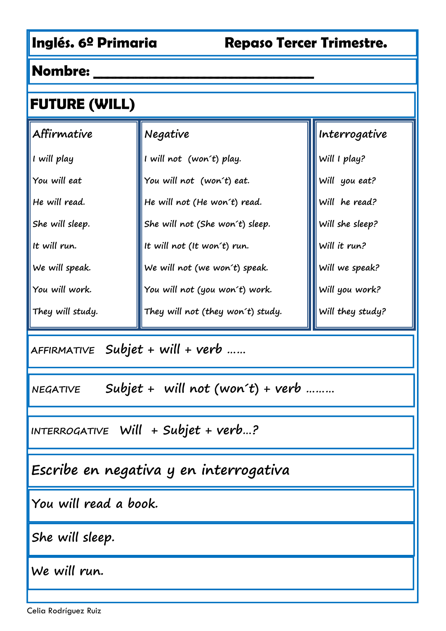| <b>FUTURE (WILL)</b>                                |                                   |                  |  |
|-----------------------------------------------------|-----------------------------------|------------------|--|
| Affirmative                                         | Negative                          | Interrogative    |  |
| I will play                                         | I will not (won't) play.          | Will I play?     |  |
| You will eat                                        | You will not (won't) eat.         | Will you eat?    |  |
| He will read.                                       | He will not (He won't) read.      | Will he read?    |  |
| She will sleep.                                     | She will not (She won't) sleep.   | Will she sleep?  |  |
| It will run.                                        | It will not (It won't) run.       | Will it run?     |  |
| We will speak.                                      | We will not (we won't) speak.     | Will we speak?   |  |
| You will work.                                      | You will not (you won't) work.    | Will you work?   |  |
| They will study.                                    | They will not (they won't) study. | Will they study? |  |
| $A$ FFIRMATIVE Subjet + will + verb                 |                                   |                  |  |
| Subjet + will not (won't) + verb<br><b>NEGATIVE</b> |                                   |                  |  |
| INTERROGATIVE Will + Subjet + verb?                 |                                   |                  |  |
| Escribe en negativa y en interrogativa              |                                   |                  |  |
| You will read a book.                               |                                   |                  |  |
| She will sleep.                                     |                                   |                  |  |

**We will run.**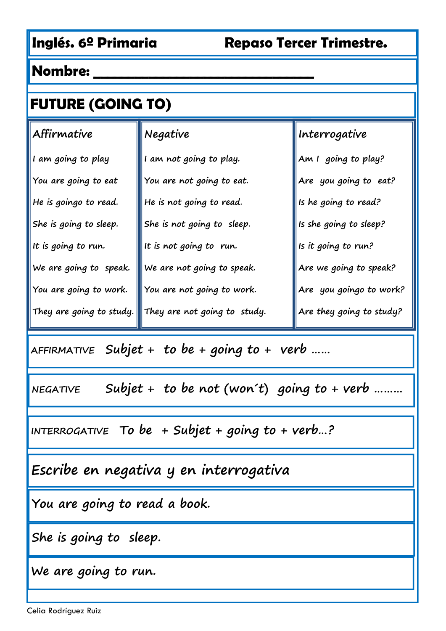# **FUTURE (GOING TO)**

| Affirmative              | Negative                       | Interrogative                      |
|--------------------------|--------------------------------|------------------------------------|
| I am going to play       | I am not going to play.        | Am I going to play?                |
| You are going to eat     | You are not going to eat.      | Are you going to eat?              |
| He is goingo to read.    | He is not going to read.       | Is he going to read?               |
| She is going to sleep.   | She is not going to sleep.     | Is she going to sleep?             |
| It is going to run.      | It is not going to run.        | Is it going to run?                |
| We are going to speak.   | $ $ We are not going to speak. | $\parallel$ Are we going to speak? |
| You are going to work.   | You are not going to work.     | Are you goingo to work?            |
| They are going to study. | They are not going to study.   | Are they going to study?           |

**AFFIRMATIVE Subjet + to be + going to + verb ……**

**NEGATIVE Subjet + to be not (won´t) going to + verb ………**

**INTERROGATIVE To be + Subjet + going to + verb…?**

**Escribe en negativa y en interrogativa**

**You are going to read a book.**

**She is going to sleep.**

**We are going to run.**

Celia Rodríguez Ruiz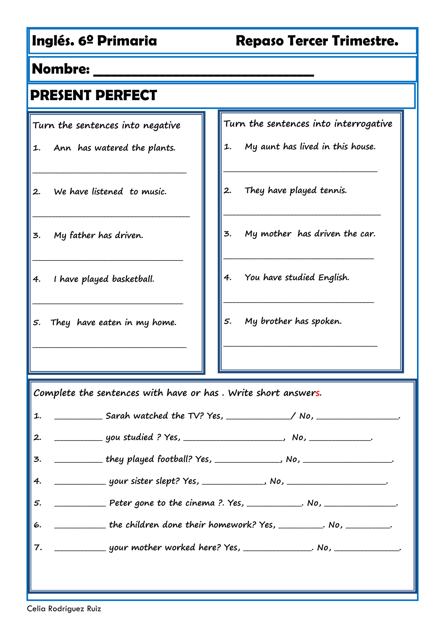#### **Nombre: \_\_\_\_\_\_\_\_\_\_\_\_\_\_\_\_\_\_\_\_\_\_\_\_\_\_\_\_\_\_\_\_**

|  |  | <b>PRESENT PERFECT</b> |  |  |  |
|--|--|------------------------|--|--|--|
|  |  |                        |  |  |  |

**Turn the sentences into negative**

**1. Ann has watered the plants.**

**\_\_\_\_\_\_\_\_\_\_\_\_\_\_\_\_\_\_\_\_\_\_\_\_\_\_\_\_\_\_\_\_\_\_\_\_\_\_\_\_\_\_\_\_\_**

**\_\_\_\_\_\_\_\_\_\_\_\_\_\_\_\_\_\_\_\_\_\_\_\_\_\_\_\_\_\_\_\_\_\_\_\_\_\_\_\_\_\_\_\_\_\_**

**\_\_\_\_\_\_\_\_\_\_\_\_\_\_\_\_\_\_\_\_\_\_\_\_\_\_\_\_\_\_\_\_\_\_\_\_\_\_\_\_\_\_\_\_**

- **2. We have listened to music.**
- **3. My father has driven.**
- **4. I have played basketball.**
- **5. They have eaten in my home.**

**\_\_\_\_\_\_\_\_\_\_\_\_\_\_\_\_\_\_\_\_\_\_\_\_\_\_\_\_\_\_\_\_\_\_\_\_\_\_\_\_\_\_\_\_\_**

**\_\_\_\_\_\_\_\_\_\_\_\_\_\_\_\_\_\_\_\_\_\_\_\_\_\_\_\_\_\_\_\_\_\_\_\_\_\_\_\_\_\_\_\_**

**Turn the sentences into interrogative**

**1. My aunt has lived in this house.**

**\_\_\_\_\_\_\_\_\_\_\_\_\_\_\_\_\_\_\_\_\_\_\_\_\_\_\_\_\_\_\_\_\_\_\_\_\_\_\_\_\_\_\_\_\_**

- **2. They have played tennis.**
- **3. My mother has driven the car.**

**\_\_\_\_\_\_\_\_\_\_\_\_\_\_\_\_\_\_\_\_\_\_\_\_\_\_\_\_\_\_\_\_\_\_\_\_\_\_\_\_\_\_\_\_**

**\_\_\_\_\_\_\_\_\_\_\_\_\_\_\_\_\_\_\_\_\_\_\_\_\_\_\_\_\_\_\_\_\_\_\_\_\_\_\_\_\_\_\_\_**

**\_\_\_\_\_\_\_\_\_\_\_\_\_\_\_\_\_\_\_\_\_\_\_\_\_\_\_\_\_\_\_\_\_\_\_\_\_\_\_\_\_\_\_\_\_**

**\_\_\_\_\_\_\_\_\_\_\_\_\_\_\_\_\_\_\_\_\_\_\_\_\_\_\_\_\_\_\_\_\_\_\_\_\_\_\_\_\_\_\_\_\_\_**

- **4. You have studied English.**
- **5. My brother has spoken.**

**Complete the sentences with have or has . Write short answers.**

|    | 1. ___________________Sarah watched the TV? Yes, _______________/ No, _________________. |
|----|------------------------------------------------------------------------------------------|
| 2. |                                                                                          |
| 3. |                                                                                          |
| 4. |                                                                                          |
| 5. | Peter gone to the cinema ? Yes, __________. No, ___________.                             |
| 6. | the children done their homework? Yes, __________. No, __________.                       |
| 7. | your mother worked here? Yes, ______________. No, ____________.                          |
|    |                                                                                          |
|    |                                                                                          |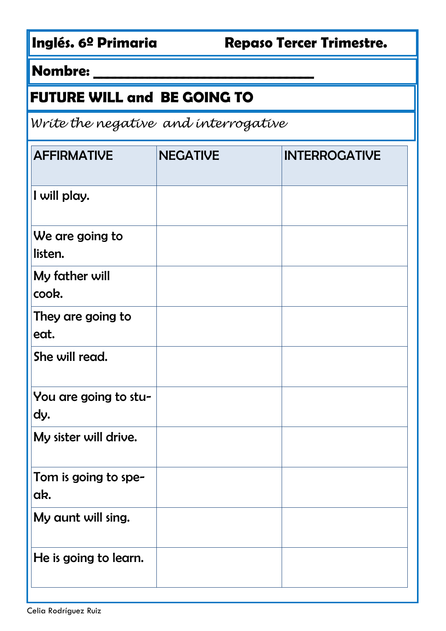# **FUTURE WILL and BE GOING TO**

Write the negative and interrogative

| <b>AFFIRMATIVE</b>           | <b>NEGATIVE</b> | <b>INTERROGATIVE</b> |
|------------------------------|-----------------|----------------------|
| I will play.                 |                 |                      |
| We are going to<br>listen.   |                 |                      |
| My father will<br>cook.      |                 |                      |
| They are going to<br>eat.    |                 |                      |
| She will read.               |                 |                      |
| You are going to stu-<br>dy. |                 |                      |
| My sister will drive.        |                 |                      |
| Tom is going to spe-<br>ak.  |                 |                      |
| My aunt will sing.           |                 |                      |
| He is going to learn.        |                 |                      |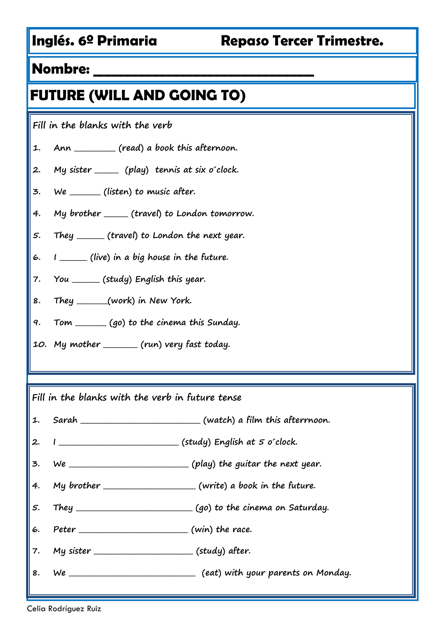# **FUTURE (WILL AND GOING TO)**

**Fill in the blanks with the verb**

- **1. Ann \_\_\_\_\_\_\_\_\_\_\_\_ (read) a book this afternoon.**
- **2. My sister \_\_\_\_\_\_\_ (play) tennis at six o´clock.**
- **3. We \_\_\_\_\_\_\_\_\_ (listen) to music after.**
- **4. My brother \_\_\_\_\_\_\_ (travel) to London tomorrow.**
- **5. They \_\_\_\_\_\_\_\_ (travel) to London the next year.**
- **6. I \_\_\_\_\_\_\_\_ (live) in a big house in the future.**
- **7. You \_\_\_\_\_\_\_\_ (study) English this year.**
- **8. They \_\_\_\_\_\_\_\_\_(work) in New York.**
- **9. Tom \_\_\_\_\_\_\_\_\_ (go) to the cinema this Sunday.**
- **10. My mother \_\_\_\_\_\_\_\_\_\_ (run) very fast today.**

**Fill in the blanks with the verb in future tense**

- **1. Sarah \_\_\_\_\_\_\_\_\_\_\_\_\_\_\_\_\_\_\_\_\_\_\_\_\_\_\_\_\_\_\_\_\_\_\_ (watch) a film this afterrnoon.**
- **2. I \_\_\_\_\_\_\_\_\_\_\_\_\_\_\_\_\_\_\_\_\_\_\_\_\_\_\_\_\_\_\_\_\_\_\_ (study) English at 5 o´clock.**
- **3. We \_\_\_\_\_\_\_\_\_\_\_\_\_\_\_\_\_\_\_\_\_\_\_\_\_\_\_\_\_\_\_\_\_\_\_ (play) the guitar the next year.**
- **4. My brother \_\_\_\_\_\_\_\_\_\_\_\_\_\_\_\_\_\_\_\_\_\_\_\_\_\_\_ (write) a book in the future.**
- **5. They \_\_\_\_\_\_\_\_\_\_\_\_\_\_\_\_\_\_\_\_\_\_\_\_\_\_\_\_\_\_\_\_\_\_ (go) to the cinema on Saturday.**
- **6. Peter \_\_\_\_\_\_\_\_\_\_\_\_\_\_\_\_\_\_\_\_\_\_\_\_\_\_\_\_\_\_\_\_ (win) the race.**
- **7. My sister \_\_\_\_\_\_\_\_\_\_\_\_\_\_\_\_\_\_\_\_\_\_\_\_\_\_\_\_\_ (study) after.**
- **8. We \_\_\_\_\_\_\_\_\_\_\_\_\_\_\_\_\_\_\_\_\_\_\_\_\_\_\_\_\_\_\_\_\_\_\_\_\_ (eat) with your parents on Monday.**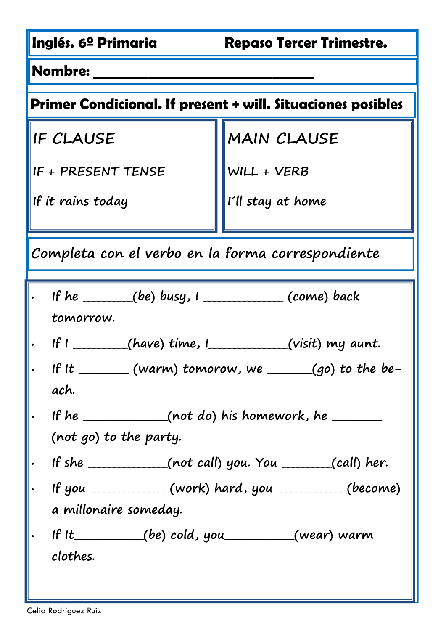| Inglés. 6º Primaria<br><b>Repaso Tercer Trimestre.</b>             |                                                                      |  |  |  |  |  |
|--------------------------------------------------------------------|----------------------------------------------------------------------|--|--|--|--|--|
| <b>Nombre:</b>                                                     |                                                                      |  |  |  |  |  |
| <b>Primer Condicional. If present + will. Situaciones posibles</b> |                                                                      |  |  |  |  |  |
| IF CLAUSE                                                          | <b>MAIN CLAUSE</b>                                                   |  |  |  |  |  |
| IF + PRESENT TENSE                                                 | WILL + VERB                                                          |  |  |  |  |  |
| If it rains today                                                  | I'll stay at home                                                    |  |  |  |  |  |
| Completa con el verbo en la forma correspondiente                  |                                                                      |  |  |  |  |  |
| . If he ______(be) busy, $1$ ____________(come) back<br>tomorrow.  |                                                                      |  |  |  |  |  |
| If I ________(have) time, I __________(visit) my aunt.             |                                                                      |  |  |  |  |  |
| ach.                                                               | If It $\frac{1}{1}$ (warm) tomorow, we $\frac{1}{1}$ (go) to the be- |  |  |  |  |  |
| . If he _____________(not do) his homework, he ________            |                                                                      |  |  |  |  |  |
| (not go) to the party.                                             |                                                                      |  |  |  |  |  |
|                                                                    |                                                                      |  |  |  |  |  |
|                                                                    | If you $(work)$ hard, you $(become)$                                 |  |  |  |  |  |
| a millonaire someday.                                              |                                                                      |  |  |  |  |  |
| If It $(be) \text{ cold, you}$ (wear) warm<br>clothes.             |                                                                      |  |  |  |  |  |
|                                                                    |                                                                      |  |  |  |  |  |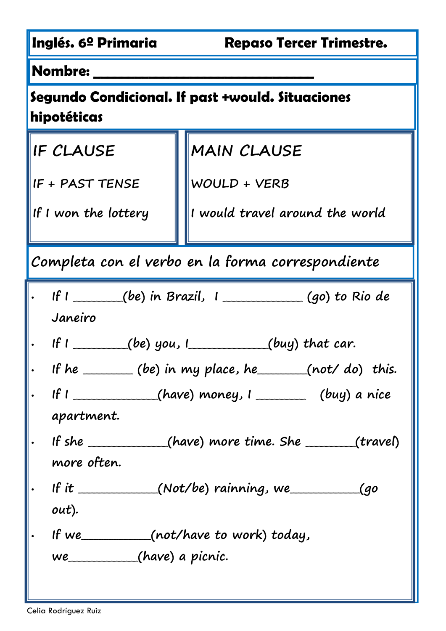| Inglés. 6º Primaria                                                                                                                                                                                                                            | <b>Repaso Tercer Trimestre.</b>                   |  |  |  |  |  |  |
|------------------------------------------------------------------------------------------------------------------------------------------------------------------------------------------------------------------------------------------------|---------------------------------------------------|--|--|--|--|--|--|
| <b>Nombre:</b>                                                                                                                                                                                                                                 |                                                   |  |  |  |  |  |  |
| Segundo Condicional. If past +would. Situaciones<br>hipotéticas                                                                                                                                                                                |                                                   |  |  |  |  |  |  |
| MAIN CLAUSE<br>IF CLAUSE                                                                                                                                                                                                                       |                                                   |  |  |  |  |  |  |
| IF + PAST TENSE                                                                                                                                                                                                                                | WOULD + VERB                                      |  |  |  |  |  |  |
| If I won the lottery                                                                                                                                                                                                                           | I would travel around the world                   |  |  |  |  |  |  |
|                                                                                                                                                                                                                                                | Completa con el verbo en la forma correspondiente |  |  |  |  |  |  |
| If I ______(be) in Brazil, I __________(go) to Rio de<br>Janeiro<br>If $I$ _________(be) you, $I$ ___________(buy) that car.<br>If he ______ (be) in my place, he _____ (not/ do) this.<br>If $I$ (have) money, $I$ (buy) a nice<br>apartment. |                                                   |  |  |  |  |  |  |
| If she $_{(have) more time. She$ $_{(travel)}$<br>more often.                                                                                                                                                                                  |                                                   |  |  |  |  |  |  |
| If it $(Not/be)$ rainning, we<br><u>(</u> go<br>out).                                                                                                                                                                                          |                                                   |  |  |  |  |  |  |
| If we (not/have to work) today,<br>we________(have) a picnic.                                                                                                                                                                                  |                                                   |  |  |  |  |  |  |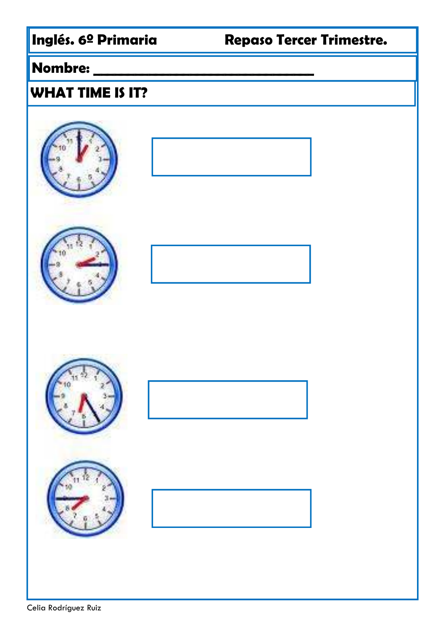### **Nombre: \_\_\_\_\_\_\_\_\_\_\_\_\_\_\_\_\_\_\_\_\_\_\_\_\_\_\_\_\_\_\_\_**

## **WHAT TIME IS IT?**













Celia Rodríguez Ruiz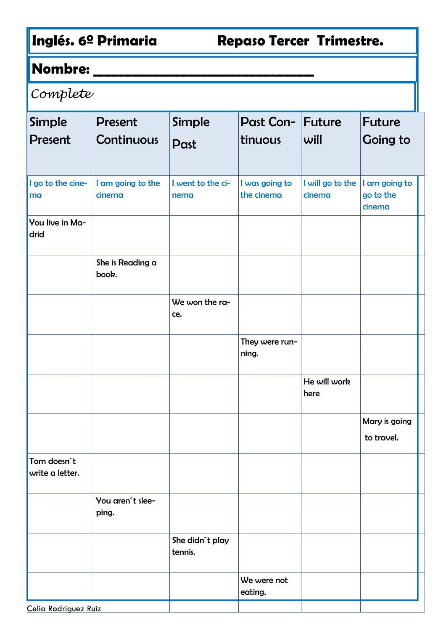## **Nombre: \_\_\_\_\_\_\_\_\_\_\_\_\_\_\_\_\_\_\_\_\_\_\_\_\_\_\_\_\_\_\_\_**

# Complete

| Simple<br><b>Present</b>                  | <b>Present</b><br>Continuous | Simple<br>Past             | Past Con- Future<br>tinuous  | will                       | <b>Future</b><br><b>Going to</b>     |
|-------------------------------------------|------------------------------|----------------------------|------------------------------|----------------------------|--------------------------------------|
| I go to the cine-<br>ma                   | I am going to the<br>cinema  | I went to the ci-<br>nema  | I was going to<br>the cinema | I will go to the<br>cinema | I am going to<br>go to the<br>cinema |
| You live in Ma-<br>drid                   |                              |                            |                              |                            |                                      |
|                                           | She is Reading a<br>book.    |                            |                              |                            |                                      |
|                                           |                              | We won the ra-<br>ce.      |                              |                            |                                      |
|                                           |                              |                            | They were run-<br>ning.      |                            |                                      |
|                                           |                              |                            |                              | He will work<br>here       |                                      |
|                                           |                              |                            |                              |                            | Mary is going<br>to travel.          |
| Tom doesn <sup>t</sup><br>write a letter. |                              |                            |                              |                            |                                      |
|                                           | You aren't slee-<br>ping.    |                            |                              |                            |                                      |
|                                           |                              | She didn´t play<br>tennis. |                              |                            |                                      |
|                                           |                              |                            | We were not<br>eating.       |                            |                                      |
| <u>Celia Rodríguez Ruiz</u>               |                              |                            |                              |                            |                                      |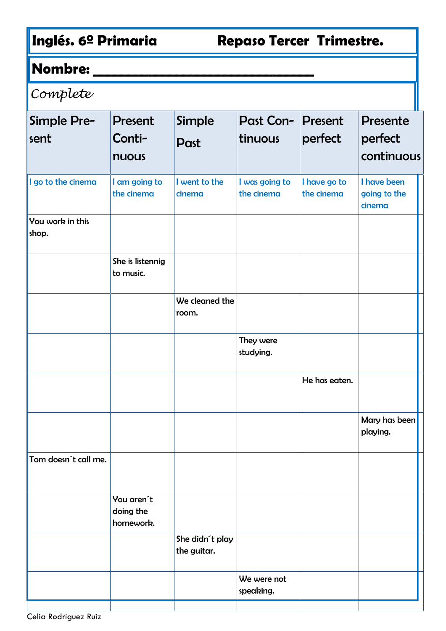## **Nombre: \_\_\_\_\_\_\_\_\_\_\_\_\_\_\_\_\_\_\_\_\_\_\_\_\_\_\_\_\_\_\_\_**

# Complete

| Simple Pre-<br>sent       | <b>Present</b><br>Conti-<br>nuous    | Simple<br>Past                 | <b>Past Con-</b><br>tinuous  | <b>Present</b><br>perfect  | <b>Presente</b><br>perfect<br>continuous |  |
|---------------------------|--------------------------------------|--------------------------------|------------------------------|----------------------------|------------------------------------------|--|
| I go to the cinema        | I am going to<br>the cinema          | I went to the<br>cinema        | I was going to<br>the cinema | I have go to<br>the cinema | I have been<br>going to the<br>cinema    |  |
| You work in this<br>shop. |                                      |                                |                              |                            |                                          |  |
|                           | She is listennig<br>to music.        |                                |                              |                            |                                          |  |
|                           |                                      | We cleaned the<br>room.        |                              |                            |                                          |  |
|                           |                                      |                                | They were<br>studying.       |                            |                                          |  |
|                           |                                      |                                |                              | He has eaten.              |                                          |  |
|                           |                                      |                                |                              |                            | Mary has been<br>playing.                |  |
| Tom doesn't call me.      |                                      |                                |                              |                            |                                          |  |
|                           | You aren't<br>doing the<br>homework. |                                |                              |                            |                                          |  |
|                           |                                      | She didn't play<br>the guitar. |                              |                            |                                          |  |
|                           |                                      |                                | We were not<br>speaking.     |                            |                                          |  |
|                           |                                      |                                |                              |                            |                                          |  |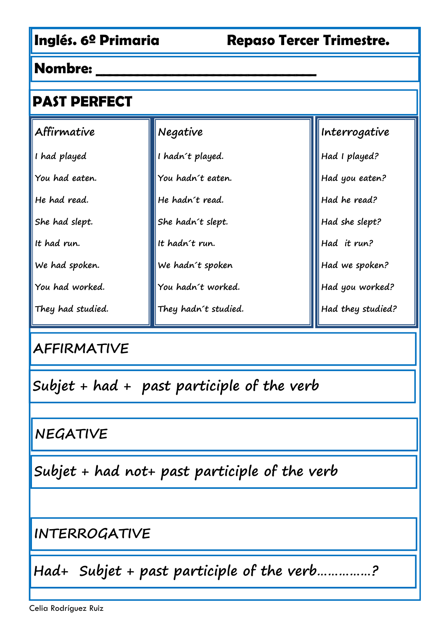| <b>PAST PERFECT</b> |                      |                   |  |  |  |  |
|---------------------|----------------------|-------------------|--|--|--|--|
| Affirmative         | Negative             | Interrogative     |  |  |  |  |
| I had played        | I hadn't played.     | Had I played?     |  |  |  |  |
| You had eaten.      | You hadn't eaten.    | Had you eaten?    |  |  |  |  |
| He had read.        | He hadn't read.      | Had he read?      |  |  |  |  |
| She had slept.      | She hadn't slept.    | Had she slept?    |  |  |  |  |
| It had run.         | It hadn't run.       | Had it run?       |  |  |  |  |
| We had spoken.      | We hadn't spoken     | Had we spoken?    |  |  |  |  |
| You had worked.     | You hadn't worked.   | Had you worked?   |  |  |  |  |
| They had studied.   | They hadn't studied. | Had they studied? |  |  |  |  |

## **AFFIRMATIVE**

**Subjet + had + past participle of the verb**

**NEGATIVE**

**Subjet + had not+ past participle of the verb**

**INTERROGATIVE**

**Had+ Subjet + past participle of the verb……………?**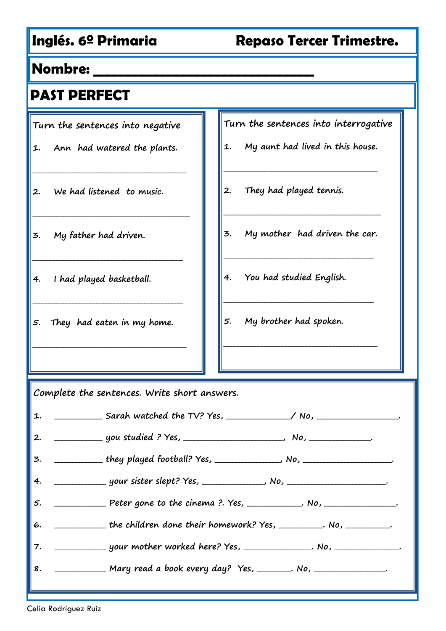#### **Nombre: \_\_\_\_\_\_\_\_\_\_\_\_\_\_\_\_\_\_\_\_\_\_\_\_\_\_\_\_\_\_\_\_**

### **PAST PERFECT**

**Turn the sentences into negative**

**1. Ann had watered the plants.**

**\_\_\_\_\_\_\_\_\_\_\_\_\_\_\_\_\_\_\_\_\_\_\_\_\_\_\_\_\_\_\_\_\_\_\_\_\_\_\_\_\_\_\_\_\_**

**\_\_\_\_\_\_\_\_\_\_\_\_\_\_\_\_\_\_\_\_\_\_\_\_\_\_\_\_\_\_\_\_\_\_\_\_\_\_\_\_\_\_\_\_\_\_**

**\_\_\_\_\_\_\_\_\_\_\_\_\_\_\_\_\_\_\_\_\_\_\_\_\_\_\_\_\_\_\_\_\_\_\_\_\_\_\_\_\_\_\_\_**

**\_\_\_\_\_\_\_\_\_\_\_\_\_\_\_\_\_\_\_\_\_\_\_\_\_\_\_\_\_\_\_\_\_\_\_\_\_\_\_\_\_\_\_\_**

**\_\_\_\_\_\_\_\_\_\_\_\_\_\_\_\_\_\_\_\_\_\_\_\_\_\_\_\_\_\_\_\_\_\_\_\_\_\_\_\_\_\_\_\_\_**

- **2. We had listened to music.**
- **3. My father had driven.**
- **4. I had played basketball.**
- **5. They had eaten in my home.**

**Turn the sentences into interrogative**

**1. My aunt had lived in this house.**

**\_\_\_\_\_\_\_\_\_\_\_\_\_\_\_\_\_\_\_\_\_\_\_\_\_\_\_\_\_\_\_\_\_\_\_\_\_\_\_\_\_\_\_\_\_**

- **2. They had played tennis.**
- **3. My mother had driven the car.**

**\_\_\_\_\_\_\_\_\_\_\_\_\_\_\_\_\_\_\_\_\_\_\_\_\_\_\_\_\_\_\_\_\_\_\_\_\_\_\_\_\_\_\_\_**

**\_\_\_\_\_\_\_\_\_\_\_\_\_\_\_\_\_\_\_\_\_\_\_\_\_\_\_\_\_\_\_\_\_\_\_\_\_\_\_\_\_\_\_\_**

**\_\_\_\_\_\_\_\_\_\_\_\_\_\_\_\_\_\_\_\_\_\_\_\_\_\_\_\_\_\_\_\_\_\_\_\_\_\_\_\_\_\_\_\_\_**

**\_\_\_\_\_\_\_\_\_\_\_\_\_\_\_\_\_\_\_\_\_\_\_\_\_\_\_\_\_\_\_\_\_\_\_\_\_\_\_\_\_\_\_\_\_\_**

- **4. You had studied English.**
- **5. My brother had spoken.**

**Complete the sentences. Write short answers.**

|    | 1. ___________________Sarah watched the TV? Yes, _______________/ No, _________________. |
|----|------------------------------------------------------------------------------------------|
| 2. |                                                                                          |
|    |                                                                                          |
|    |                                                                                          |
| 5. | Peter gone to the cinema ?. Yes, ___________. No, ____________.                          |
| 6. | the children done their homework? Yes, _________. No, _________.                         |
| 7. |                                                                                          |
| 8. | Mary read a book every day? Yes, _______. No, ___________.                               |
|    |                                                                                          |